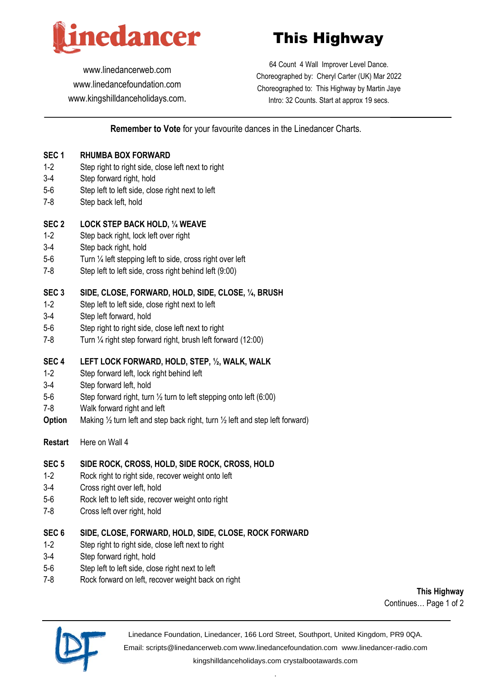

# This Highway

[www.linedancerweb.com](http://www.linedancerweb.com/) [www.linedancefoundation.com](http://www.linedancerweb.com/)  [www.kingshilldanceholidays.com](http://www.kingshilldanceholidays.com/).

64 Count 4 Wall Improver Level Dance. Choreographed by: Cheryl Carter (UK) Mar 2022 Choreographed to: This Highway by Martin Jaye Intro: 32 Counts. Start at approx 19 secs.

## **Remember to Vote** for your favourite dances in the Linedancer Charts.

## **SEC 1 RHUMBA BOX FORWARD**

- 1-2 Step right to right side, close left next to right
- 3-4 Step forward right, hold
- 5-6 Step left to left side, close right next to left
- 7-8 Step back left, hold

#### **SEC 2 LOCK STEP BACK HOLD, ¼ WEAVE**

- 1-2 Step back right, lock left over right
- 3-4 Step back right, hold
- 5-6 Turn ¼ left stepping left to side, cross right over left
- 7-8 Step left to left side, cross right behind left (9:00)

## **SEC 3 SIDE, CLOSE, FORWARD, HOLD, SIDE, CLOSE, ¼, BRUSH**

- 1-2 Step left to left side, close right next to left
- 3-4 Step left forward, hold
- 5-6 Step right to right side, close left next to right
- 7-8 Turn ¼ right step forward right, brush left forward (12:00)

## **SEC 4 LEFT LOCK FORWARD, HOLD, STEP, ½, WALK, WALK**

- 1-2 Step forward left, lock right behind left
- 3-4 Step forward left, hold
- 5-6 Step forward right, turn ½ turn to left stepping onto left (6:00)
- 7-8 Walk forward right and left
- **Option** Making 1/<sub>2</sub> turn left and step back right, turn 1/<sub>2</sub> left and step left forward)
- **Restart** Here on Wall 4

#### **SEC 5 SIDE ROCK, CROSS, HOLD, SIDE ROCK, CROSS, HOLD**

- 1-2 Rock right to right side, recover weight onto left
- 3-4 Cross right over left, hold
- 5-6 Rock left to left side, recover weight onto right
- 7-8 Cross left over right, hold

#### **SEC 6 SIDE, CLOSE, FORWARD, HOLD, SIDE, CLOSE, ROCK FORWARD**

- 1-2 Step right to right side, close left next to right
- 3-4 Step forward right, hold
- 5-6 Step left to left side, close right next to left
- 7-8 Rock forward on left, recover weight back on right

**This Highway** Continues… Page 1 of 2



Linedance Foundation, Linedancer, 166 Lord Street, Southport, United Kingdom, PR9 0QA.

Email: [scripts@linedancerweb.com](mailto:scripts@linedancerweb.com) [www.linedancefoundation.com](http://www.linedancefoundation.com/) [www.linedancer-radio.com](http://www.linedancer-radio.com/)

[kingshilldanceholidays.com](http://kingshilldanceholidays.com/) [crystalbootawards.com](http://crystalbootawards.com/) .